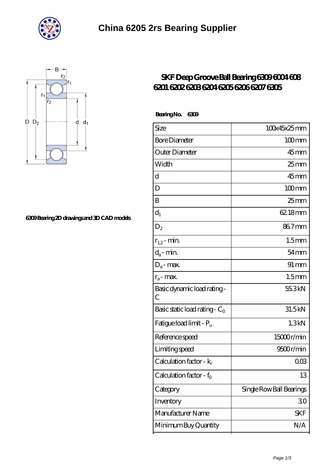



## **[6309 Bearing 2D drawings and 3D CAD models](https://m.bluffsarts.org/pic-665163.html)**

## **[SKF Deep Groove Ball Bearing 6309 6004 608](https://m.bluffsarts.org/skf-6201-Bearing/skf-6309/) [6201 6202 6203 6204 6205 6206 6207 6305](https://m.bluffsarts.org/skf-6201-Bearing/skf-6309/)**

| Size                             | 100x45x25mm              |
|----------------------------------|--------------------------|
| <b>Bore Diameter</b>             | $100 \text{mm}$          |
| Outer Diameter                   | $45$ mm                  |
| Width                            | $25$ mm                  |
| d                                | $45$ <sub>mm</sub>       |
| D                                | $100 \text{mm}$          |
| B                                | $25$ mm                  |
| $d_1$                            | 62.18mm                  |
| $D_2$                            | 86.7mm                   |
| $r_{1,2}$ - min.                 | 1.5 <sub>mm</sub>        |
| $d_a$ - min.                     | $54$ mm                  |
| $D_a$ - max.                     | $91 \, \mathrm{mm}$      |
| $r_a$ - max.                     | 1.5 <sub>mm</sub>        |
| Basic dynamic load rating-<br>С  | 55.3kN                   |
| Basic static load rating - $C_0$ | 31.5kN                   |
| Fatigue load limit - Pu          | 1.3kN                    |
| Reference speed                  | 15000r/min               |
| Limiting speed                   | 9500r/min                |
| Calculation factor - $k_r$       | ΟŒ                       |
| Calculation factor - $f_0$       | 13                       |
| Category                         | Single Row Ball Bearings |
| Inventory                        | 30                       |
| Manufacturer Name                | <b>SKF</b>               |
| Minimum Buy Quantity             | N/A                      |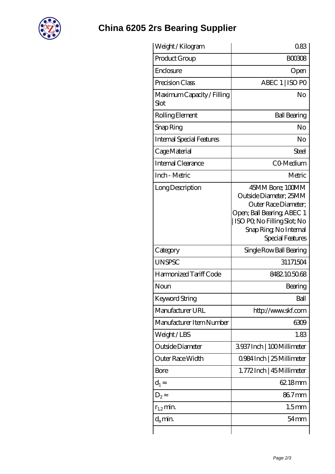

## **[China 6205 2rs Bearing Supplier](https://m.bluffsarts.org)**

| Weight / Kilogram                  | 083                                                                                                                                                                           |
|------------------------------------|-------------------------------------------------------------------------------------------------------------------------------------------------------------------------------|
| Product Group                      | <b>BOO308</b>                                                                                                                                                                 |
| Enclosure                          | Open                                                                                                                                                                          |
| Precision Class                    | ABEC 1   ISO PO                                                                                                                                                               |
| Maximum Capacity / Filling<br>Slot | No                                                                                                                                                                            |
| Rolling Element                    | <b>Ball Bearing</b>                                                                                                                                                           |
| Snap Ring                          | No                                                                                                                                                                            |
| <b>Internal Special Features</b>   | No                                                                                                                                                                            |
| Cage Material                      | Steel                                                                                                                                                                         |
| <b>Internal Clearance</b>          | CO-Medium                                                                                                                                                                     |
| Inch - Metric                      | Metric                                                                                                                                                                        |
| Long Description                   | 45MM Bore: 100MM<br>Outside Diameter; 25MM<br>Outer Race Diameter;<br>Open; Ball Bearing; ABEC 1<br>ISO PO, No Filling Slot; No<br>Snap Ring, No Internal<br>Special Features |
| Category                           | Single Row Ball Bearing                                                                                                                                                       |
| <b>UNSPSC</b>                      | 31171504                                                                                                                                                                      |
| Harmonized Tariff Code             | 8482105068                                                                                                                                                                    |
| Noun                               | Bearing                                                                                                                                                                       |
| Keyword String                     | Ball                                                                                                                                                                          |
| Manufacturer URL                   | http://www.skf.com                                                                                                                                                            |
| Manufacturer Item Number           | 6309                                                                                                                                                                          |
| Weight / LBS                       | 1.83                                                                                                                                                                          |
| Outside Diameter                   | 3937Inch   100Millimeter                                                                                                                                                      |
| Outer Race Width                   | 0984 Inch   25 Millimeter                                                                                                                                                     |
| Bore                               | 1.772Inch   45 Millimeter                                                                                                                                                     |
| $d_1$                              | 62.18mm                                                                                                                                                                       |
| $D_2$                              | 867mm                                                                                                                                                                         |
| $r_{1,2}$ min.                     | 1.5 <sub>mm</sub>                                                                                                                                                             |
| $d_{a}$ min.                       | $54 \text{mm}$                                                                                                                                                                |
|                                    |                                                                                                                                                                               |